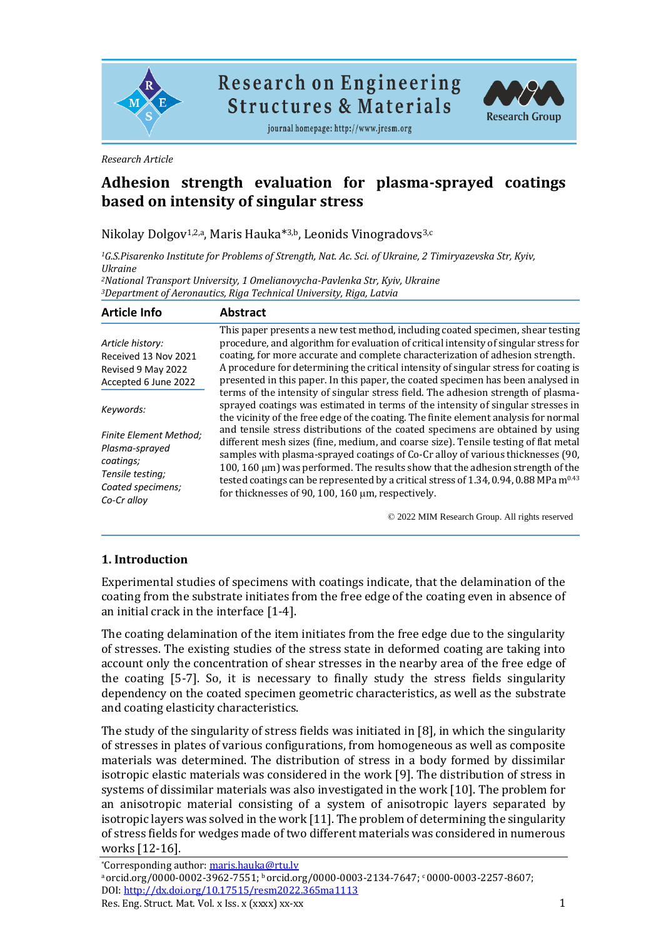

**Research on Engineering Structures & Materials** 



journal homepage: http://www.jresm.org

*Research Article*

# **Adhesion strength evaluation for plasma-sprayed coatings based on intensity of singular stress**

Nikolay Dolgov<sup>1,2,a</sup>, Maris Hauka<sup>\*3,b</sup>, Leonids Vinogradovs<sup>3,c</sup>

*<sup>1</sup>G.S.Pisarenko Institute for Problems of Strength, Nat. Ac. Sci. of Ukraine, 2 Timiryazevska Str, Kyiv, Ukraine*

*<sup>2</sup>National Transport University, 1 Omelianovycha-Pavlenka Str, Kyiv, Ukraine <sup>3</sup>Department of Aeronautics, Riga Technical University, Riga, Latvia*

| <b>Article Info</b>                                                                                                  | <b>Abstract</b>                                                                                                                                                                                                                                                                                                                                                                                                                                                                                           |  |  |
|----------------------------------------------------------------------------------------------------------------------|-----------------------------------------------------------------------------------------------------------------------------------------------------------------------------------------------------------------------------------------------------------------------------------------------------------------------------------------------------------------------------------------------------------------------------------------------------------------------------------------------------------|--|--|
| Article history:<br>Received 13 Nov 2021<br>Revised 9 May 2022<br>Accepted 6 June 2022                               | This paper presents a new test method, including coated specimen, shear testing<br>procedure, and algorithm for evaluation of critical intensity of singular stress for<br>coating, for more accurate and complete characterization of adhesion strength.<br>A procedure for determining the critical intensity of singular stress for coating is<br>presented in this paper. In this paper, the coated specimen has been analysed in                                                                     |  |  |
| Keywords:                                                                                                            | terms of the intensity of singular stress field. The adhesion strength of plasma-<br>sprayed coatings was estimated in terms of the intensity of singular stresses in<br>the vicinity of the free edge of the coating. The finite element analysis for normal                                                                                                                                                                                                                                             |  |  |
| <b>Finite Element Method:</b><br>Plasma-sprayed<br>coatings;<br>Tensile testing;<br>Coated specimens;<br>Co-Cr alloy | and tensile stress distributions of the coated specimens are obtained by using<br>different mesh sizes (fine, medium, and coarse size). Tensile testing of flat metal<br>samples with plasma-sprayed coatings of Co-Cr alloy of various thicknesses (90,<br>100, 160 $\mu$ m) was performed. The results show that the adhesion strength of the<br>tested coatings can be represented by a critical stress of 1.34, 0.94, 0.88 MPa m <sup>0.43</sup><br>for thicknesses of 90, 100, 160 um, respectively. |  |  |

© 2022 MIM Research Group. All rights reserved

#### **1. Introduction**

Experimental studies of specimens with coatings indicate, that the delamination of the coating from the substrate initiates from the free edge of the coating even in absence of an initial crack in the interface [1-4].

The coating delamination of the item initiates from the free edge due to the singularity of stresses. The existing studies of the stress state in deformed coating are taking into account only the concentration of shear stresses in the nearby area of the free edge of the coating [5-7]. So, it is necessary to finally study the stress fields singularity dependency on the coated specimen geometric characteristics, as well as the substrate and coating elasticity characteristics.

The study of the singularity of stress fields was initiated in [8], in which the singularity of stresses in plates of various configurations, from homogeneous as well as composite materials was determined. The distribution of stress in a body formed by dissimilar isotropic elastic materials was considered in the work [9]. The distribution of stress in systems of dissimilar materials was also investigated in the work [10]. The problem for an anisotropic material consisting of a system of anisotropic layers separated by isotropic layers was solved in the work [11]. The problem of determining the singularity of stress fields for wedges made of two different materials was considered in numerous works [12-16].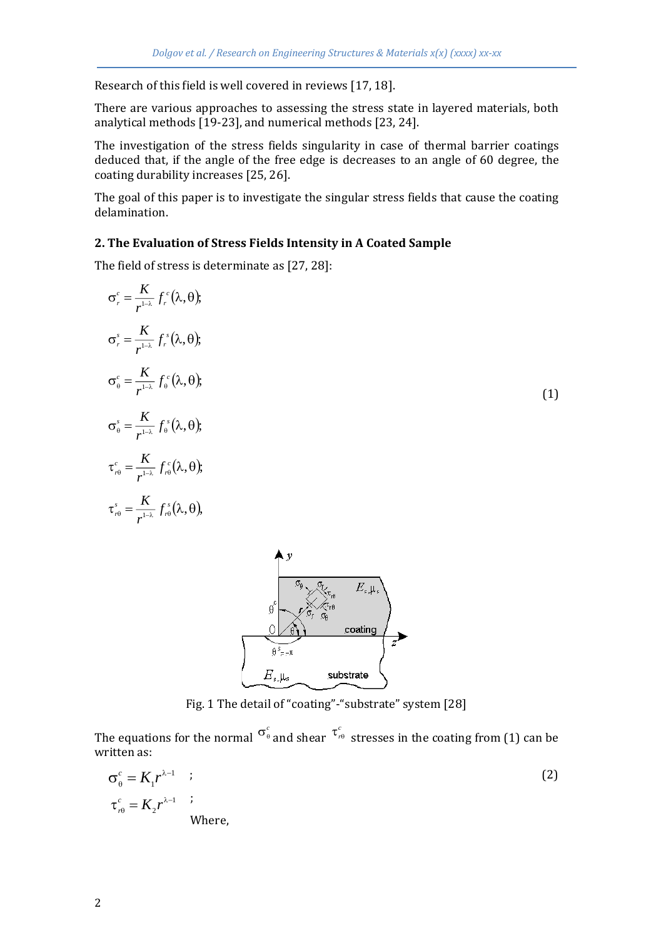Research of this field is well covered in reviews [17, 18].

There are various approaches to assessing the stress state in layered materials, both analytical methods [19-23], and numerical methods [23, 24].

The investigation of the stress fields singularity in case of thermal barrier coatings deduced that, if the angle of the free edge is decreases to an angle of 60 degree, the coating durability increases [25, 26].

The goal of this paper is to investigate the singular stress fields that cause the coating delamination.

#### **2. The Evaluation of Stress Fields Intensity in A Coated Sample**

The field of stress is determinate as [27, 28]:

$$
\sigma_r^c = \frac{K}{r^{1-\lambda}} f_r^c(\lambda, \theta);
$$
  
\n
$$
\sigma_r^s = \frac{K}{r^{1-\lambda}} f_r^s(\lambda, \theta);
$$
  
\n
$$
\sigma_\theta^c = \frac{K}{r^{1-\lambda}} f_\theta^s(\lambda, \theta);
$$
  
\n
$$
\sigma_\theta^s = \frac{K}{r^{1-\lambda}} f_\theta^s(\lambda, \theta);
$$
  
\n
$$
\tau_{r\theta}^c = \frac{K}{r^{1-\lambda}} f_r^c(\lambda, \theta);
$$
  
\n
$$
\tau_{r\theta}^s = \frac{K}{r^{1-\lambda}} f_r^s(\lambda, \theta);
$$
  
\n(1)



Fig. 1 The detail of "coating"-"substrate" system [28]

The equations for the normal  $\sigma_{\theta}^c$  and shear  $\tau_{\theta}^c$  stresses in the coating from (1) can be written as:

$$
\sigma_{\theta}^{c} = K_{1} r^{\lambda - 1} \quad ;
$$
\n
$$
\tau_{r\theta}^{c} = K_{2} r^{\lambda - 1} \quad ;
$$
\nWhere,

\n
$$
\sigma_{\theta}^{c} = K_{r\theta} \quad ;
$$
\n(2)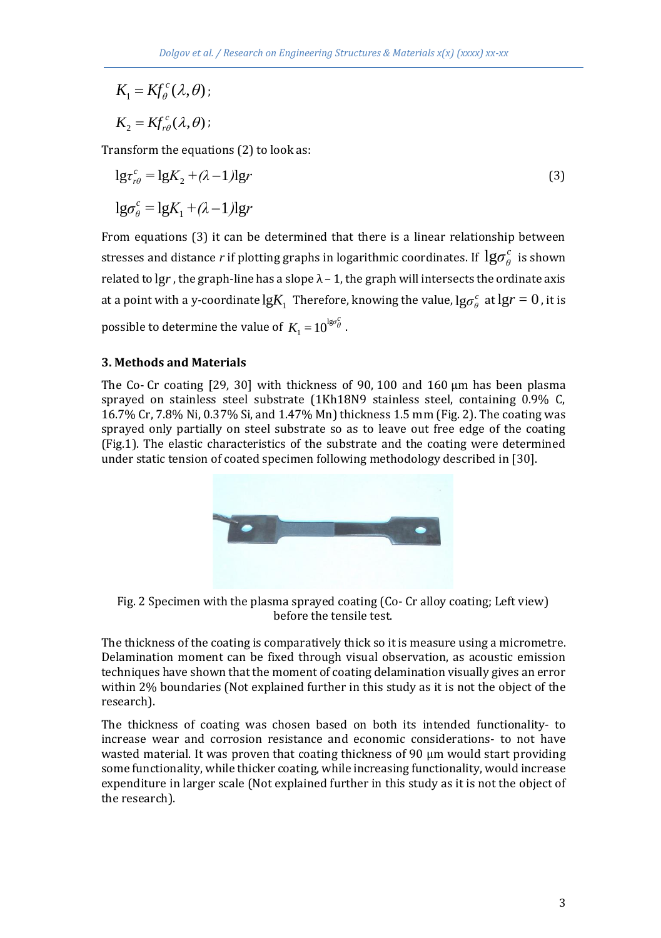$$
K_1 = Kf_{\theta}^c(\lambda, \theta);
$$
  

$$
K_2 = Kf_{r\theta}^c(\lambda, \theta);
$$

Transform the equations (2) to look as:

$$
\lg \tau_{r\theta}^c = \lg K_2 + (\lambda - 1) \lg r
$$
  
\n
$$
\lg \sigma_{\theta}^c = \lg K_1 + (\lambda - 1) \lg r
$$
\n(3)

From equations (3) it can be determined that there is a linear relationship between stresses and distance  $r$  if plotting graphs in logarithmic coordinates. If  $\lg\!\sigma_{\theta}^c$  is shown related to lg $r$  , the graph-line has a slope  $\lambda$  – 1, the graph will intersects the ordinate axis at a point with a y-coordinate  $\lg\! K_1$  Therefore, knowing the value,  $\lg\! \sigma^c_\theta$  at  $\lg\! r=0$  , it is possible to determine the value of  $K _{_{1}}$   $=$   $10 ^{\lg \sigma _{\theta }^{C}}$  .

### **3. Methods and Materials**

The Co- Cr coating [29, 30] with thickness of 90, 100 and 160 µm has been plasma sprayed on stainless steel substrate (1Kh18N9 stainless steel, containing 0.9% C, 16.7% Cr, 7.8% Ni, 0.37% Si, and 1.47% Mn) thickness 1.5 mm (Fig. 2). The coating was sprayed only partially on steel substrate so as to leave out free edge of the coating (Fig.1). The elastic characteristics of the substrate and the coating were determined under static tension of coated specimen following methodology described in [30].



Fig. 2 Specimen with the plasma sprayed coating (Co- Cr alloy coating; Left view) before the tensile test.

The thickness of the coating is comparatively thick so it is measure using a micrometre. Delamination moment can be fixed through visual observation, as acoustic emission techniques have shown that the moment of coating delamination visually gives an error within 2% boundaries (Not explained further in this study as it is not the object of the research).

The thickness of coating was chosen based on both its intended functionality- to increase wear and corrosion resistance and economic considerations- to not have wasted material. It was proven that coating thickness of 90 µm would start providing some functionality, while thicker coating, while increasing functionality, would increase expenditure in larger scale (Not explained further in this study as it is not the object of the research).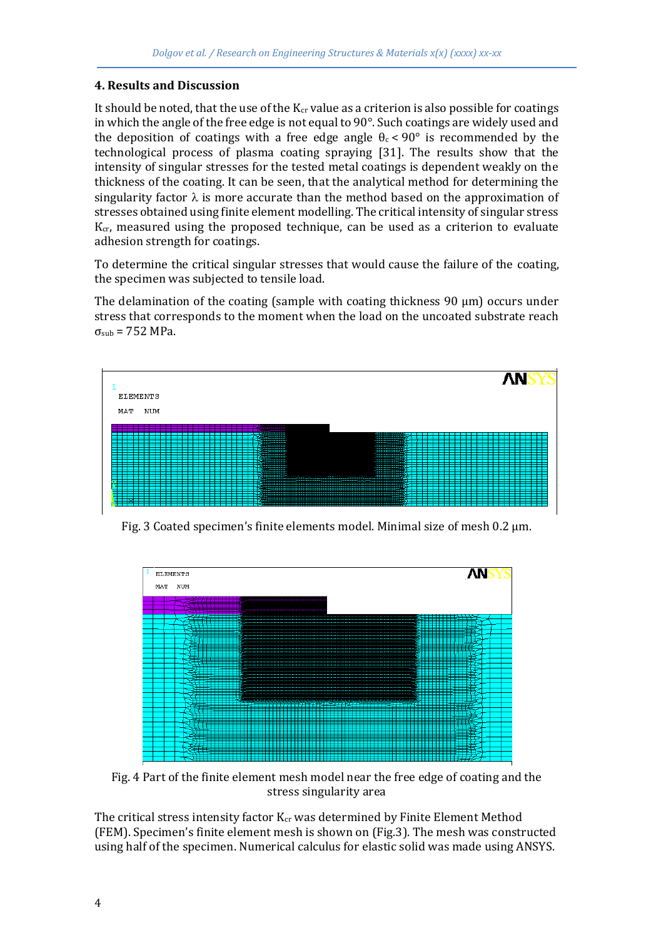#### **4. Results and Discussion**

It should be noted, that the use of the  $K_{cr}$  value as a criterion is also possible for coatings in which the angle of the free edge is not equal to 90°. Such coatings are widely used and the deposition of coatings with a free edge angle  $\theta_c < 90^\circ$  is recommended by the technological process of plasma coating spraying [31]. The results show that the intensity of singular stresses for the tested metal coatings is dependent weakly on the thickness of the coating. It can be seen, that the analytical method for determining the singularity factor  $\lambda$  is more accurate than the method based on the approximation of stresses obtained using finite element modelling. The critical intensity of singular stress  $K_{cr}$ , measured using the proposed technique, can be used as a criterion to evaluate adhesion strength for coatings.

To determine the critical singular stresses that would cause the failure of the coating, the specimen was subjected to tensile load.

The delamination of the coating (sample with coating thickness  $90 \mu m$ ) occurs under stress that corresponds to the moment when the load on the uncoated substrate reach  $\sigma<sub>sub</sub>$  = 752 MPa.



Fig. 3 Coated specimen's finite elements model. Minimal size of mesh 0.2 µm.



Fig. 4 Part of the finite element mesh model near the free edge of coating and the stress singularity area

The critical stress intensity factor  $K_{cr}$  was determined by Finite Element Method (FEM). Specimen's finite element mesh is shown on (Fig.3). The mesh was constructed using half of the specimen. Numerical calculus for elastic solid was made using ANSYS.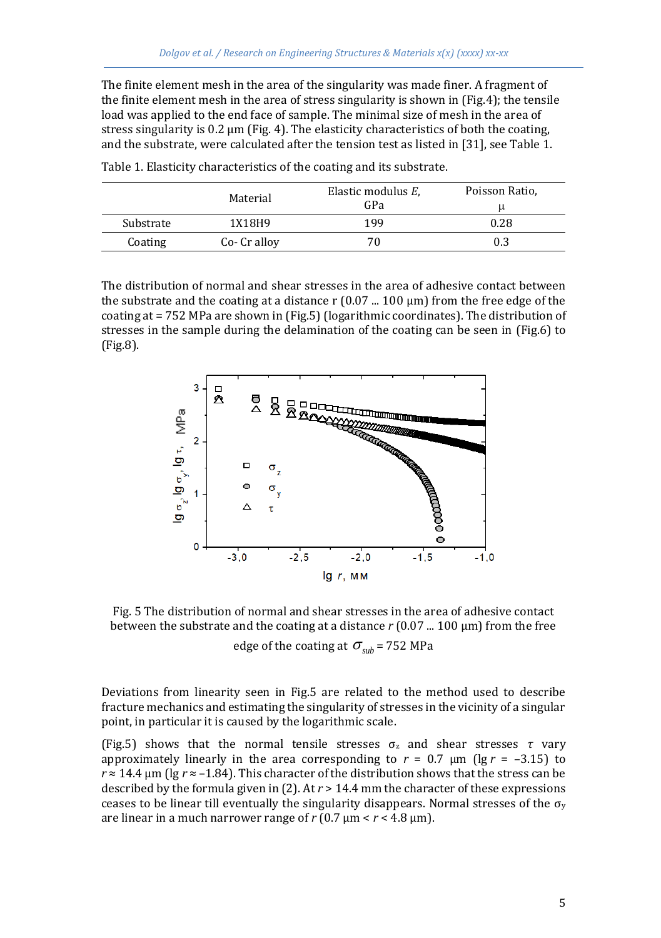The finite element mesh in the area of the singularity was made finer. A fragment of the finite element mesh in the area of stress singularity is shown in (Fig.4); the tensile load was applied to the end face of sample. The minimal size of mesh in the area of stress singularity is 0.2 µm (Fig. 4). The elasticity characteristics of both the coating, and the substrate, were calculated after the tension test as listed in [31], see Table 1.

|           | Material     | Elastic modulus E.<br>GPa | Poisson Ratio,<br>u |
|-----------|--------------|---------------------------|---------------------|
| Substrate | 1X18H9       | 199                       | 0.28                |
| Coating   | Co- Cr alloy |                           | 0.3                 |

Table 1. Elasticity characteristics of the coating and its substrate.

The distribution of normal and shear stresses in the area of adhesive contact between the substrate and the coating at a distance r  $(0.07 \dots 100 \mu m)$  from the free edge of the coating at = 752 MPa are shown in (Fig.5)(logarithmic coordinates). The distribution of stresses in the sample during the delamination of the coating can be seen in (Fig.6) to (Fig.8).



Fig. 5 The distribution of normal and shear stresses in the area of adhesive contact between the substrate and the coating at a distance *r* (0.07 ... 100 μm) from the free

edge of the coating at  $\sigma_{sub}$  = 752 MPa

Deviations from linearity seen in Fig.5 are related to the method used to describe fracture mechanics and estimating the singularity of stresses in the vicinity of a singular point, in particular it is caused by the logarithmic scale.

(Fig.5) shows that the normal tensile stresses σ<sup>z</sup> and shear stresses *τ* vary approximately linearly in the area corresponding to  $r = 0.7 \mu m$  (lg  $r = -3.15$ ) to  $r \approx 14.4$  µm (lg  $r \approx -1.84$ ). This character of the distribution shows that the stress can be described by the formula given in (2). At *r* > 14.4 mm the character of these expressions ceases to be linear till eventually the singularity disappears. Normal stresses of the  $\sigma_y$ are linear in a much narrower range of  $r$  (0.7  $\mu$ m <  $r$  < 4.8  $\mu$ m).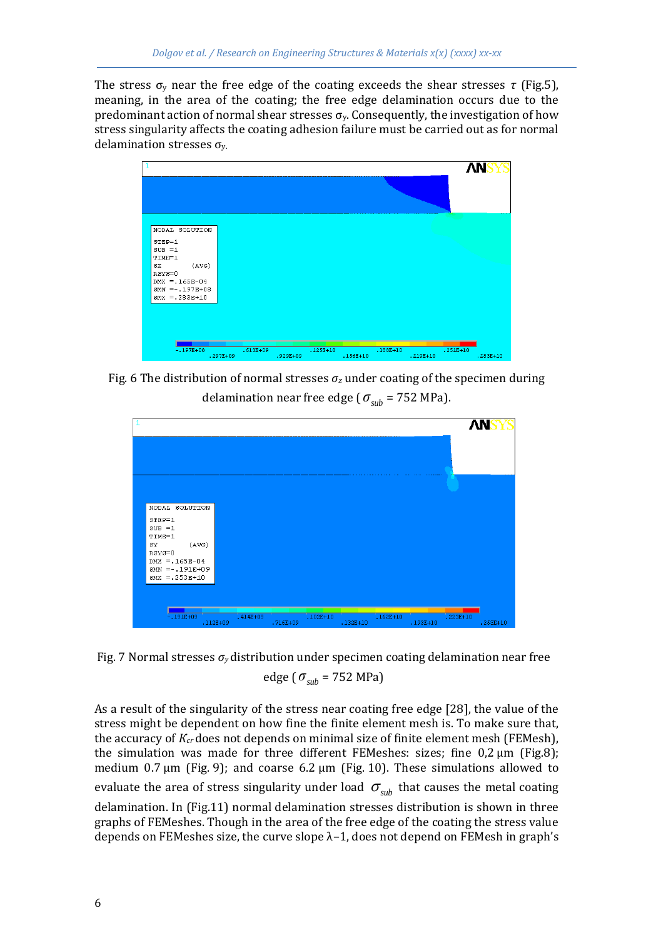The stress  $\sigma_y$  near the free edge of the coating exceeds the shear stresses  $\tau$  (Fig.5), meaning, in the area of the coating; the free edge delamination occurs due to the predominant action of normal shear stresses  $\sigma_y$ . Consequently, the investigation of how stress singularity affects the coating adhesion failure must be carried out as for normal delamination stresses  $\sigma_{v}$ .



Fig. 6 The distribution of normal stresses  $\sigma_z$  under coating of the specimen during delamination near free edge (  $\sigma_{sub}$  = 752 MPa).



Fig. 7 Normal stresses *σy* distribution under specimen coating delamination near free edge (  $\sigma_{sub}$  = 752 MPa)

As a result of the singularity of the stress near coating free edge [28], the value of the stress might be dependent on how fine the finite element mesh is. To make sure that, the accuracy of *Кcr* does not depends on minimal size of finite element mesh (FEMesh), the simulation was made for three different FEMeshes: sizes; fine 0,2 μm (Fig.8); medium 0.7 μm (Fig. 9); and coarse 6.2 μm (Fig. 10). These simulations allowed to evaluate the area of stress singularity under load  $\sigma_{sub}$  that causes the metal coating

delamination. In (Fig.11) normal delamination stresses distribution is shown in three graphs of FEMeshes. Though in the area of the free edge of the coating the stress value depends on FEMeshes size, the curve slope  $\lambda$ -1, does not depend on FEMesh in graph's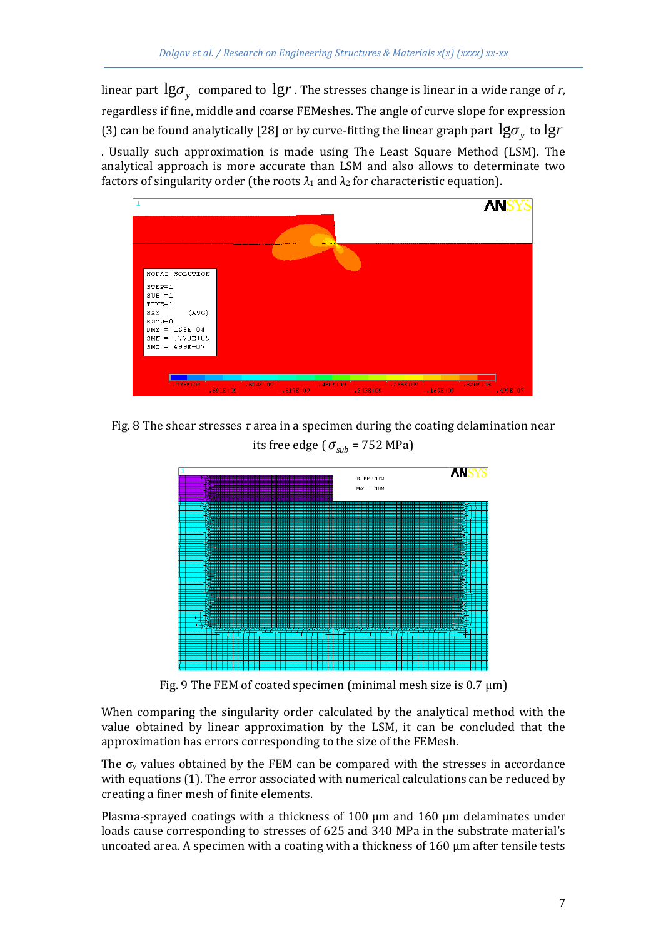linear part  $\lg\!\sigma_y^{}$  compared to  $\lg\!r$  . The stresses change is linear in a wide range of  $r$ , regardless if fine, middle and coarse FEMeshes. The angle of curve slope for expression (3) can be found analytically [28] or by curve-fitting the linear graph part  $\lg\!\sigma_{_y}$  to  $\lg\!r$ . Usually such approximation is made using The Least Square Method (LSM). The analytical approach is more accurate than LSM and also allows to determinate two factors of singularity order (the roots  $\lambda_1$  and  $\lambda_2$  for characteristic equation).



Fig. 8 The shear stresses *τ* area in a specimen during the coating delamination near its free edge (  $\sigma_{sub}$  = 752 MPa)



Fig. 9 The FEM of coated specimen (minimal mesh size is  $0.7 \mu m$ )

When comparing the singularity order calculated by the analytical method with the value obtained by linear approximation by the LSM, it can be concluded that the approximation has errors corresponding to the size of the FEMesh.

The  $\sigma_y$  values obtained by the FEM can be compared with the stresses in accordance with equations (1). The error associated with numerical calculations can be reduced by creating a finer mesh of finite elements.

Plasma-sprayed coatings with a thickness of 100  $\mu$ m and 160  $\mu$ m delaminates under loads cause corresponding to stresses of 625 and 340 MPa in the substrate material's uncoated area. A specimen with a coating with a thickness of  $160 \mu m$  after tensile tests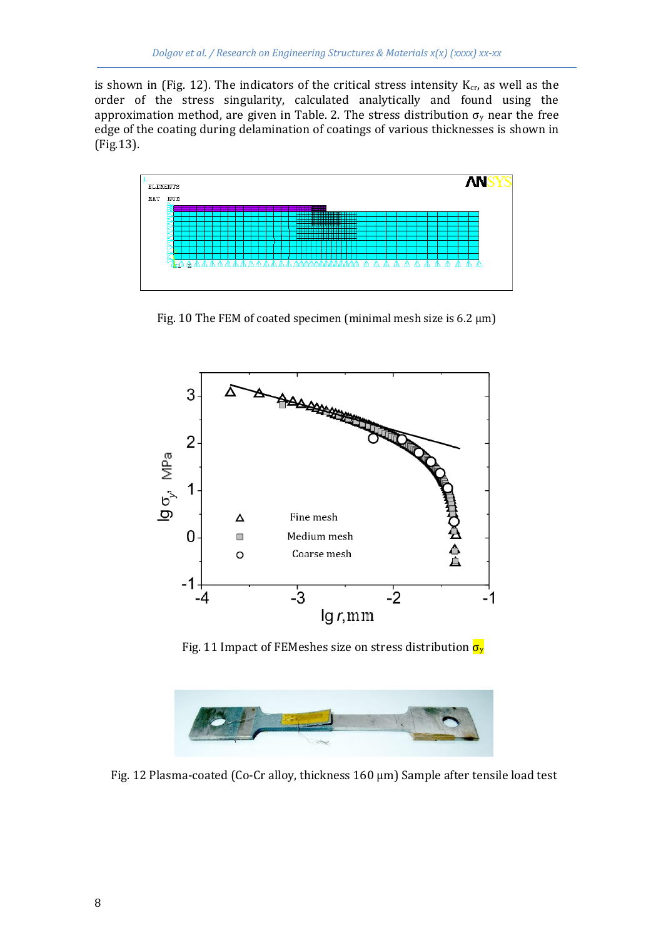is shown in (Fig. 12). The indicators of the critical stress intensity  $K_{cr}$ , as well as the order of the stress singularity, calculated analytically and found using the approximation method, are given in Table. 2. The stress distribution  $\sigma_y$  near the free edge of the coating during delamination of coatings of various thicknesses is shown in (Fig.13).



Fig. 10 The FEM of coated specimen (minimal mesh size is  $6.2 \mu m$ )



Fig. 11 Impact of FEMeshes size on stress distribution  $\sigma_y$ 



Fig. 12 Plasma-coated (Co-Cr alloy, thickness 160 µm) Sample after tensile load test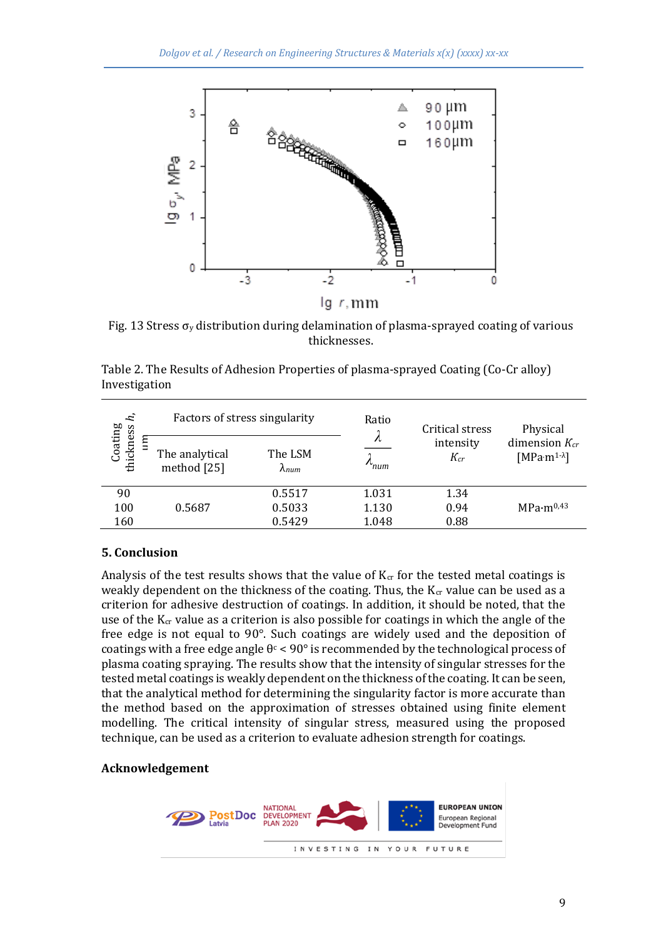

Fig. 13 Stress  $\sigma_{v}$  distribution during delamination of plasma-sprayed coating of various thicknesses.

| 'n,<br>Coating<br>thickness | Factors of stress singularity<br>The analytical<br>method [25] | The LSM<br>$\lambda_{num}$ | Ratio<br>л<br>num | Critical stress<br>intensity<br>$K_{cr}$ | Physical<br>dimension $K_{cr}$<br>$[MPa·m1-λ]$ |
|-----------------------------|----------------------------------------------------------------|----------------------------|-------------------|------------------------------------------|------------------------------------------------|
| 90                          |                                                                | 0.5517                     | 1.031             | 1.34                                     |                                                |
| 100                         | 0.5687                                                         | 0.5033                     | 1.130             | 0.94                                     | MPa·m <sup>0.43</sup>                          |
| 160                         |                                                                | 0.5429                     | 1.048             | 0.88                                     |                                                |

Table 2. The Results of Adhesion Properties of plasma-sprayed Coating (Co-Cr alloy) Investigation

## **5. Conclusion**

Analysis of the test results shows that the value of  $K_{cr}$  for the tested metal coatings is weakly dependent on the thickness of the coating. Thus, the  $K_{cr}$  value can be used as a criterion for adhesive destruction of coatings. In addition, it should be noted, that the use of the  $K_{cr}$  value as a criterion is also possible for coatings in which the angle of the free edge is not equal to 90°. Such coatings are widely used and the deposition of coatings with a free edge angle  $\theta$ <sup>c</sup> < 90° is recommended by the technological process of plasma coating spraying. The results show that the intensity of singular stresses for the tested metal coatings is weakly dependent on the thickness of the coating. It can be seen, that the analytical method for determining the singularity factor is more accurate than the method based on the approximation of stresses obtained using finite element modelling. The critical intensity of singular stress, measured using the proposed technique, can be used as a criterion to evaluate adhesion strength for coatings.

#### **Acknowledgement**

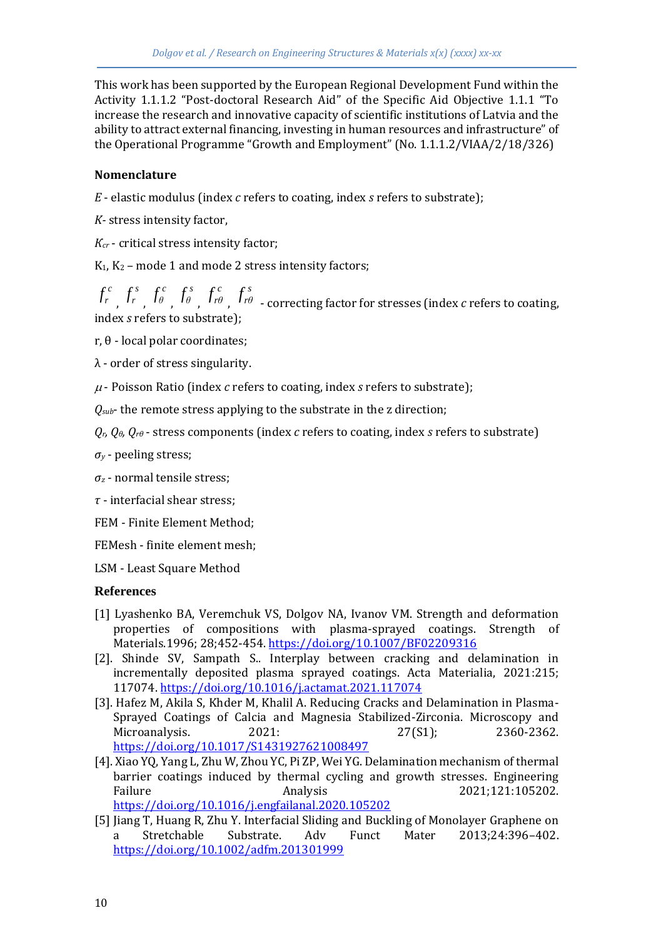This work has been supported by the European Regional Development Fund within the Activity 1.1.1.2 "Post-doctoral Research Aid" of the Specific Aid Objective 1.1.1 "To increase the research and innovative capacity of scientific institutions of Latvia and the ability to attract external financing, investing in human resources and infrastructure" of the Operational Programme "Growth and Employment" (No. 1.1.1.2/VIAA/2/18/326)

#### **Nomenclature**

*E* - elastic modulus (index *с* refers to coating, index *s* refers to substrate);

*K-* stress intensity factor,

*Кcr* - critical stress intensity factor;

 $K_1, K_2$  – mode 1 and mode 2 stress intensity factors;

*c*  $f_r^c$ <sub>,</sub> $f_r^s$  $f_r^s$ <sub>*,* </sub> $f_{\theta}^c$ <sub>*,* </sub> $f_{\theta}^s$ <sub>*, f*<sub>r $\theta$ </sup>*,*</sub></sub> *s rθ f* - correcting factor for stresses (index *с* refers to coating, index *s* refers to substrate);

r, θ - local polar coordinates;

λ - order of stress singularity.

- Poisson Ratio (index *с* refers to coating, index *s* refers to substrate);

*Qsub*- the remote stress applying to the substrate in the z direction;

*Qr, Qθ, Qrθ* - stress components (index *с* refers to coating, index *s* refers to substrate)

*σ<sup>y</sup>* - peeling stress;

*σ<sup>z</sup>* - normal tensile stress;

*τ* - interfacial shear stress;

FEM - Finite Element Method;

FEMesh - finite element mesh;

LSM - Least Square Method

#### **References**

- [1] Lyashenko BA, Veremchuk VS, Dolgov NA, Ivanov VM. Strength and deformation properties of compositions with plasma-sprayed coatings. Strength of Materials.1996; 28;452-454[. https://doi.org/10.1007/BF02209316](https://doi.org/10.1007/BF02209316)
- [2]. Shinde SV, Sampath S.. Interplay between cracking and delamination in incrementally deposited plasma sprayed coatings. Acta Materialia, 2021:215; 117074[. https://doi.org/10.1016/j.actamat.2021.117074](https://doi.org/10.1016/j.actamat.2021.117074)
- [3]. Hafez M, Akila S, Khder M, Khalil A. Reducing Cracks and Delamination in Plasma-Sprayed Coatings of Calcia and Magnesia Stabilized-Zirconia. Microscopy and Microanalysis. 2021: 27(S1); 2360-2362. <https://doi.org/10.1017/S1431927621008497>
- [4]. Xiao YQ, Yang L, Zhu W, Zhou YC, Pi ZP, Wei YG. Delamination mechanism of thermal barrier coatings induced by thermal cycling and growth stresses. Engineering Failure Analysis 2021;121:105202. <https://doi.org/10.1016/j.engfailanal.2020.105202>
- [5] Jiang T, Huang R, Zhu Y. Interfacial Sliding and Buckling of Monolayer Graphene on a Stretchable Substrate. Adv Funct Mater 2013;24:396–402. <https://doi.org/10.1002/adfm.201301999>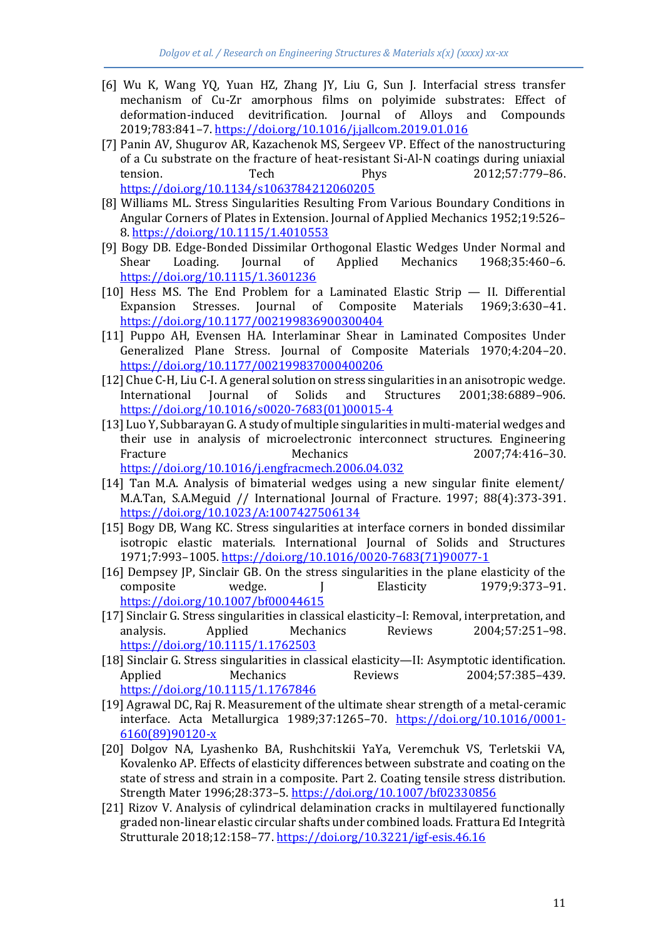- [6] Wu K, Wang YQ, Yuan HZ, Zhang JY, Liu G, Sun J. Interfacial stress transfer mechanism of Cu-Zr amorphous films on polyimide substrates: Effect of deformation-induced devitrification. Journal of Alloys and Compounds 2019;783:841–7[. https://doi.org/10.1016/j.jallcom.2019.01.016](https://doi.org/10.1016/j.jallcom.2019.01.016)
- [7] Panin AV, Shugurov AR, Kazachenok MS, Sergeev VP. Effect of the nanostructuring of a Cu substrate on the fracture of heat-resistant Si-Al-N coatings during uniaxial tension. Tech Phys 2012;57:779–86. <https://doi.org/10.1134/s1063784212060205>
- [8] Williams ML. Stress Singularities Resulting From Various Boundary Conditions in Angular Corners of Plates in Extension. Journal of Applied Mechanics 1952;19:526– 8.<https://doi.org/10.1115/1.4010553>
- [9] Bogy DB. Edge-Bonded Dissimilar Orthogonal Elastic Wedges Under Normal and Shear Loading. Journal of Applied Mechanics 1968;35:460–6. <https://doi.org/10.1115/1.3601236>
- [10] Hess MS. The End Problem for a Laminated Elastic Strip II. Differential Expansion Stresses. Journal of Composite Materials 1969;3:630–41. <https://doi.org/10.1177/002199836900300404>
- [11] Puppo AH, Evensen HA. Interlaminar Shear in Laminated Composites Under Generalized Plane Stress. Journal of Composite Materials 1970;4:204–20. <https://doi.org/10.1177/002199837000400206>
- [12] Chue C-H, Liu C-I. A general solution on stress singularities in an anisotropic wedge. International Journal of Solids and Structures 2001;38:6889–906. [https://doi.org/10.1016/s0020-7683\(01\)00015-4](https://doi.org/10.1016/s0020-7683(01)00015-4)
- [13] Luo Y, Subbarayan G. A study of multiple singularities in multi-material wedges and their use in analysis of microelectronic interconnect structures. Engineering Fracture Mechanics Mechanics 2007;74:416-30. <https://doi.org/10.1016/j.engfracmech.2006.04.032>
- [14] Tan M.A. Analysis of bimaterial wedges using a new singular finite element/ M.A.Tan, S.A.Meguid // International Journal of Fracture. 1997; 88(4):373-391. <https://doi.org/10.1023/A:1007427506134>
- [15] Bogy DB, Wang KC. Stress singularities at interface corners in bonded dissimilar isotropic elastic materials. International Journal of Solids and Structures 1971;7:993–1005[. https://doi.org/10.1016/0020-7683\(71\)90077-1](https://doi.org/10.1016/0020-7683(71)90077-1)
- [16] Dempsey JP, Sinclair GB. On the stress singularities in the plane elasticity of the composite wedge. J Elasticity 1979;9:373-91. <https://doi.org/10.1007/bf00044615>
- [17] Sinclair G. Stress singularities in classical elasticity–I: Removal, interpretation, and analysis. Applied Mechanics Reviews 2004;57:251–98. <https://doi.org/10.1115/1.1762503>
- [18] Sinclair G. Stress singularities in classical elasticity—II: Asymptotic identification. Applied Mechanics Reviews 2004:57:385-439. <https://doi.org/10.1115/1.1767846>
- [19] Agrawal DC, Raj R. Measurement of the ultimate shear strength of a metal-ceramic interface. Acta Metallurgica 1989;37:1265-70. [https://doi.org/10.1016/0001-](https://doi.org/10.1016/0001-6160(89)90120-x) [6160\(89\)90120-x](https://doi.org/10.1016/0001-6160(89)90120-x)
- [20] Dolgov NA, Lyashenko BA, Rushchitskii YaYa, Veremchuk VS, Terletskii VA, Kovalenko AP. Effects of elasticity differences between substrate and coating on the state of stress and strain in a composite. Part 2. Coating tensile stress distribution. Strength Mater 1996;28:373–5[. https://doi.org/10.1007/bf02330856](https://doi.org/10.1007/bf02330856)
- [21] Rizov V. Analysis of cylindrical delamination cracks in multilayered functionally graded non-linear elastic circular shafts under combined loads. Frattura Ed Integrità Strutturale 2018;12:158–77[. https://doi.org/10.3221/igf-esis.46.16](https://doi.org/10.3221/igf-esis.46.16)